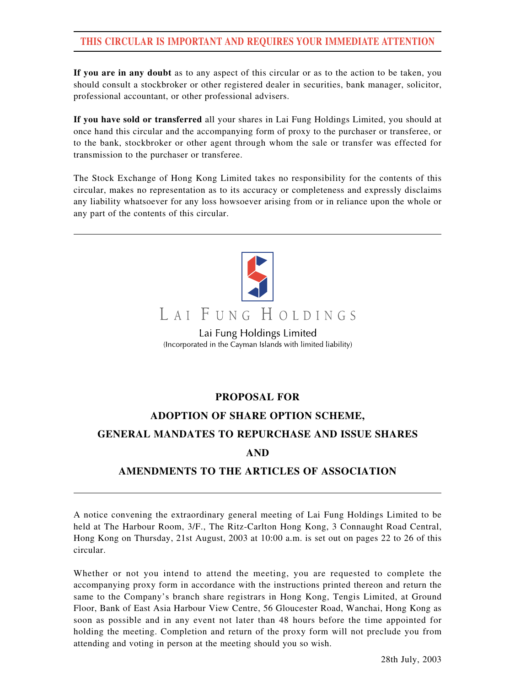### **THIS CIRCULAR IS IMPORTANT AND REQUIRES YOUR IMMEDIATE ATTENTION**

**If you are in any doubt** as to any aspect of this circular or as to the action to be taken, you should consult a stockbroker or other registered dealer in securities, bank manager, solicitor, professional accountant, or other professional advisers.

**If you have sold or transferred** all your shares in Lai Fung Holdings Limited, you should at once hand this circular and the accompanying form of proxy to the purchaser or transferee, or to the bank, stockbroker or other agent through whom the sale or transfer was effected for transmission to the purchaser or transferee.

The Stock Exchange of Hong Kong Limited takes no responsibility for the contents of this circular, makes no representation as to its accuracy or completeness and expressly disclaims any liability whatsoever for any loss howsoever arising from or in reliance upon the whole or any part of the contents of this circular.



# LAI FUNG HOLDINGS

Lai Fung Holdings Limited (Incorporated in the Cayman Islands with limited liability)

#### **PROPOSAL FOR**

#### **ADOPTION OF SHARE OPTION SCHEME,**

#### **GENERAL MANDATES TO REPURCHASE AND ISSUE SHARES**

#### **AND**

#### **AMENDMENTS TO THE ARTICLES OF ASSOCIATION**

A notice convening the extraordinary general meeting of Lai Fung Holdings Limited to be held at The Harbour Room, 3/F., The Ritz-Carlton Hong Kong, 3 Connaught Road Central, Hong Kong on Thursday, 21st August, 2003 at 10:00 a.m. is set out on pages 22 to 26 of this circular.

Whether or not you intend to attend the meeting, you are requested to complete the accompanying proxy form in accordance with the instructions printed thereon and return the same to the Company's branch share registrars in Hong Kong, Tengis Limited, at Ground Floor, Bank of East Asia Harbour View Centre, 56 Gloucester Road, Wanchai, Hong Kong as soon as possible and in any event not later than 48 hours before the time appointed for holding the meeting. Completion and return of the proxy form will not preclude you from attending and voting in person at the meeting should you so wish.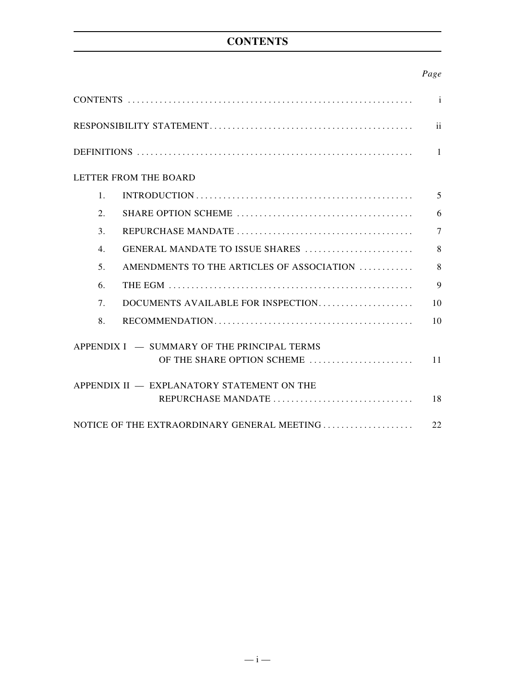## **CONTENTS**

#### *Page*

|                                             |                                             | $\mathbf{i}$   |  |  |
|---------------------------------------------|---------------------------------------------|----------------|--|--|
|                                             |                                             | ii             |  |  |
|                                             |                                             | $\overline{1}$ |  |  |
|                                             | LETTER FROM THE BOARD                       |                |  |  |
| $\mathbf{1}$ .                              |                                             | 5              |  |  |
| 2.                                          |                                             | 6              |  |  |
| 3.                                          |                                             | $\overline{7}$ |  |  |
| $\overline{4}$ .                            | GENERAL MANDATE TO ISSUE SHARES             | 8              |  |  |
| 5 <sub>1</sub>                              | AMENDMENTS TO THE ARTICLES OF ASSOCIATION   | 8              |  |  |
| 6.                                          |                                             | $\mathbf Q$    |  |  |
| 7.                                          | DOCUMENTS AVAILABLE FOR INSPECTION          | 10             |  |  |
| 8.                                          |                                             | 10             |  |  |
| APPENDIX I — SUMMARY OF THE PRINCIPAL TERMS |                                             |                |  |  |
|                                             | OF THE SHARE OPTION SCHEME                  | 11             |  |  |
| APPENDIX II - EXPLANATORY STATEMENT ON THE  |                                             |                |  |  |
|                                             | REPURCHASE MANDATE                          | 18             |  |  |
|                                             | NOTICE OF THE EXTRAORDINARY GENERAL MEETING | 22             |  |  |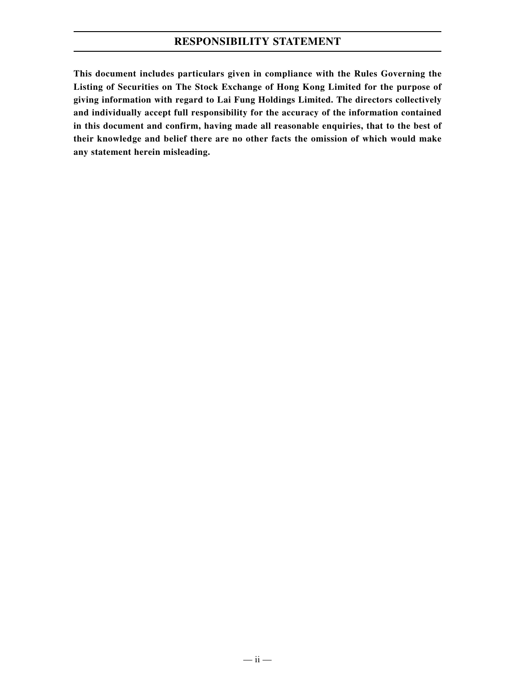### **RESPONSIBILITY STATEMENT**

**This document includes particulars given in compliance with the Rules Governing the Listing of Securities on The Stock Exchange of Hong Kong Limited for the purpose of giving information with regard to Lai Fung Holdings Limited. The directors collectively and individually accept full responsibility for the accuracy of the information contained in this document and confirm, having made all reasonable enquiries, that to the best of their knowledge and belief there are no other facts the omission of which would make any statement herein misleading.**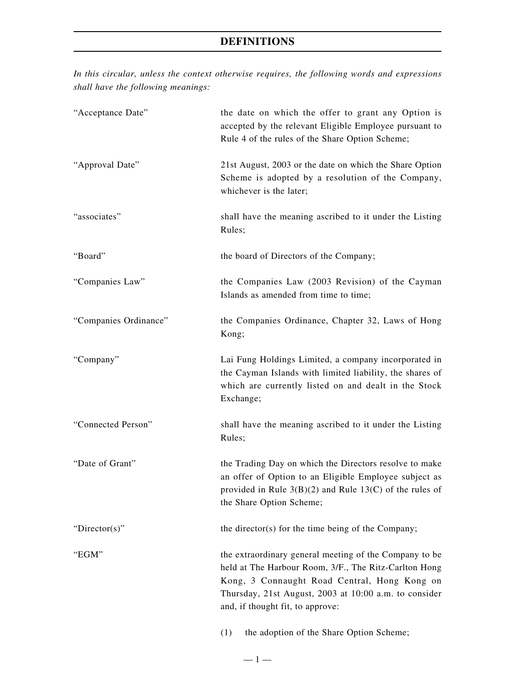*In this circular, unless the context otherwise requires, the following words and expressions shall have the following meanings:*

| "Acceptance Date"     | the date on which the offer to grant any Option is<br>accepted by the relevant Eligible Employee pursuant to<br>Rule 4 of the rules of the Share Option Scheme;                                                                                              |
|-----------------------|--------------------------------------------------------------------------------------------------------------------------------------------------------------------------------------------------------------------------------------------------------------|
| "Approval Date"       | 21st August, 2003 or the date on which the Share Option<br>Scheme is adopted by a resolution of the Company,<br>whichever is the later;                                                                                                                      |
| "associates"          | shall have the meaning ascribed to it under the Listing<br>Rules;                                                                                                                                                                                            |
| "Board"               | the board of Directors of the Company;                                                                                                                                                                                                                       |
| "Companies Law"       | the Companies Law (2003 Revision) of the Cayman<br>Islands as amended from time to time;                                                                                                                                                                     |
| "Companies Ordinance" | the Companies Ordinance, Chapter 32, Laws of Hong<br>Kong;                                                                                                                                                                                                   |
| "Company"             | Lai Fung Holdings Limited, a company incorporated in<br>the Cayman Islands with limited liability, the shares of<br>which are currently listed on and dealt in the Stock<br>Exchange;                                                                        |
| "Connected Person"    | shall have the meaning ascribed to it under the Listing<br>Rules;                                                                                                                                                                                            |
| "Date of Grant"       | the Trading Day on which the Directors resolve to make<br>an offer of Option to an Eligible Employee subject as<br>provided in Rule $3(B)(2)$ and Rule 13(C) of the rules of<br>the Share Option Scheme;                                                     |
| "Director(s)"         | the director(s) for the time being of the Company;                                                                                                                                                                                                           |
| "EGM"                 | the extraordinary general meeting of the Company to be<br>held at The Harbour Room, 3/F., The Ritz-Carlton Hong<br>Kong, 3 Connaught Road Central, Hong Kong on<br>Thursday, 21st August, 2003 at 10:00 a.m. to consider<br>and, if thought fit, to approve: |
|                       | the adoption of the Share Option Scheme;<br>(1)                                                                                                                                                                                                              |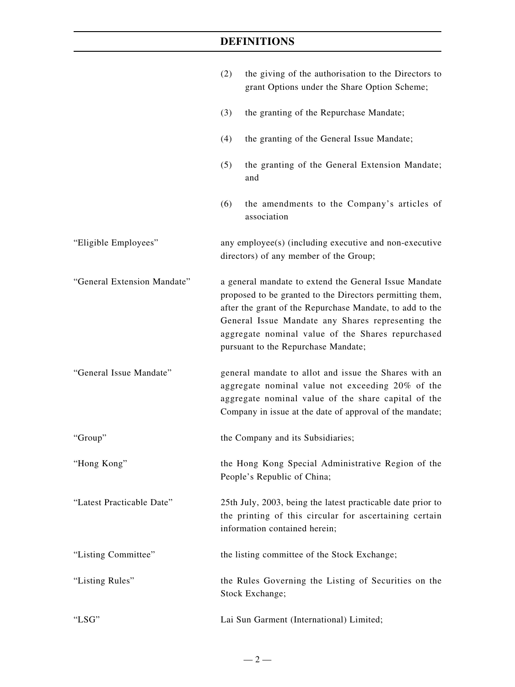|                             | (2)                                                                                                                                                                                                                                                                                                                            | the giving of the authorisation to the Directors to<br>grant Options under the Share Option Scheme;                                                                                                                          |
|-----------------------------|--------------------------------------------------------------------------------------------------------------------------------------------------------------------------------------------------------------------------------------------------------------------------------------------------------------------------------|------------------------------------------------------------------------------------------------------------------------------------------------------------------------------------------------------------------------------|
|                             | (3)                                                                                                                                                                                                                                                                                                                            | the granting of the Repurchase Mandate;                                                                                                                                                                                      |
|                             | (4)                                                                                                                                                                                                                                                                                                                            | the granting of the General Issue Mandate;                                                                                                                                                                                   |
|                             | (5)                                                                                                                                                                                                                                                                                                                            | the granting of the General Extension Mandate;<br>and                                                                                                                                                                        |
|                             | (6)                                                                                                                                                                                                                                                                                                                            | the amendments to the Company's articles of<br>association                                                                                                                                                                   |
| "Eligible Employees"        | any employee(s) (including executive and non-executive<br>directors) of any member of the Group;                                                                                                                                                                                                                               |                                                                                                                                                                                                                              |
| "General Extension Mandate" | a general mandate to extend the General Issue Mandate<br>proposed to be granted to the Directors permitting them,<br>after the grant of the Repurchase Mandate, to add to the<br>General Issue Mandate any Shares representing the<br>aggregate nominal value of the Shares repurchased<br>pursuant to the Repurchase Mandate; |                                                                                                                                                                                                                              |
| "General Issue Mandate"     |                                                                                                                                                                                                                                                                                                                                | general mandate to allot and issue the Shares with an<br>aggregate nominal value not exceeding 20% of the<br>aggregate nominal value of the share capital of the<br>Company in issue at the date of approval of the mandate; |
| "Group"                     |                                                                                                                                                                                                                                                                                                                                | the Company and its Subsidiaries;                                                                                                                                                                                            |
| "Hong Kong"                 |                                                                                                                                                                                                                                                                                                                                | the Hong Kong Special Administrative Region of the<br>People's Republic of China;                                                                                                                                            |
| "Latest Practicable Date"   |                                                                                                                                                                                                                                                                                                                                | 25th July, 2003, being the latest practicable date prior to<br>the printing of this circular for ascertaining certain<br>information contained herein;                                                                       |
| "Listing Committee"         |                                                                                                                                                                                                                                                                                                                                | the listing committee of the Stock Exchange;                                                                                                                                                                                 |
| "Listing Rules"             |                                                                                                                                                                                                                                                                                                                                | the Rules Governing the Listing of Securities on the<br>Stock Exchange;                                                                                                                                                      |
| "LSG"                       |                                                                                                                                                                                                                                                                                                                                | Lai Sun Garment (International) Limited;                                                                                                                                                                                     |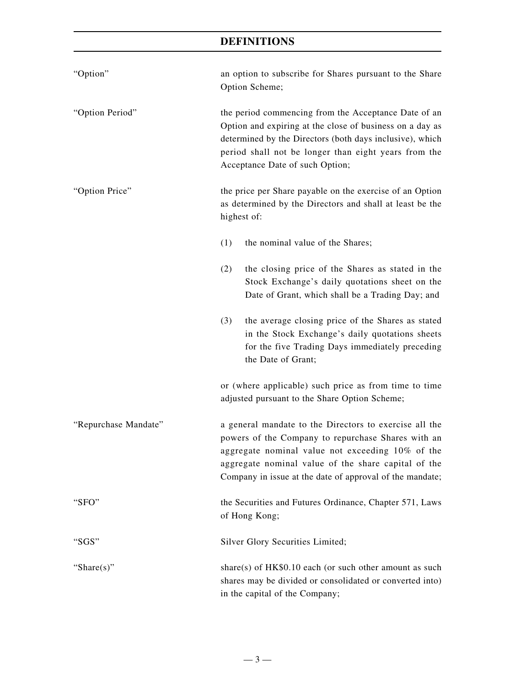| "Option"             | an option to subscribe for Shares pursuant to the Share<br>Option Scheme;                                                                                                                                                                                                           |  |  |
|----------------------|-------------------------------------------------------------------------------------------------------------------------------------------------------------------------------------------------------------------------------------------------------------------------------------|--|--|
| "Option Period"      | the period commencing from the Acceptance Date of an<br>Option and expiring at the close of business on a day as<br>determined by the Directors (both days inclusive), which<br>period shall not be longer than eight years from the<br>Acceptance Date of such Option;             |  |  |
| "Option Price"       | the price per Share payable on the exercise of an Option<br>as determined by the Directors and shall at least be the<br>highest of:                                                                                                                                                 |  |  |
|                      | (1)<br>the nominal value of the Shares;                                                                                                                                                                                                                                             |  |  |
|                      | (2)<br>the closing price of the Shares as stated in the<br>Stock Exchange's daily quotations sheet on the<br>Date of Grant, which shall be a Trading Day; and                                                                                                                       |  |  |
|                      | the average closing price of the Shares as stated<br>(3)<br>in the Stock Exchange's daily quotations sheets<br>for the five Trading Days immediately preceding<br>the Date of Grant;                                                                                                |  |  |
|                      | or (where applicable) such price as from time to time<br>adjusted pursuant to the Share Option Scheme;                                                                                                                                                                              |  |  |
| "Repurchase Mandate" | a general mandate to the Directors to exercise all the<br>powers of the Company to repurchase Shares with an<br>aggregate nominal value not exceeding 10% of the<br>aggregate nominal value of the share capital of the<br>Company in issue at the date of approval of the mandate; |  |  |
| "SFO"                | the Securities and Futures Ordinance, Chapter 571, Laws<br>of Hong Kong;                                                                                                                                                                                                            |  |  |
| "SGS"                | Silver Glory Securities Limited;                                                                                                                                                                                                                                                    |  |  |
| "Share $(s)$ "       | share(s) of $HK$0.10$ each (or such other amount as such<br>shares may be divided or consolidated or converted into)<br>in the capital of the Company;                                                                                                                              |  |  |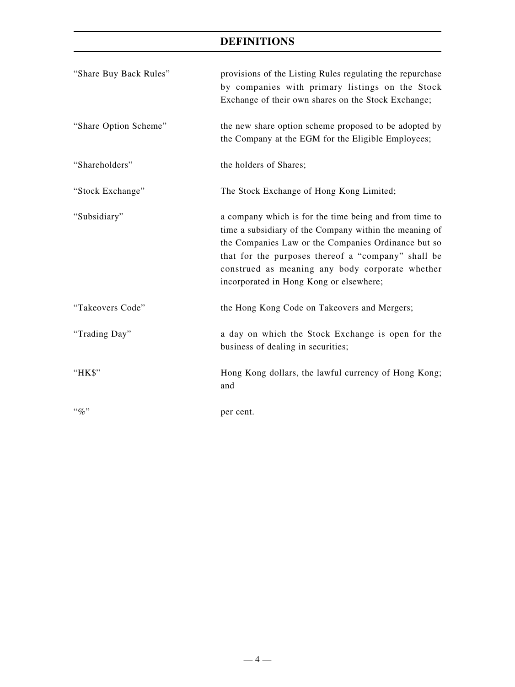| "Share Buy Back Rules" | provisions of the Listing Rules regulating the repurchase<br>by companies with primary listings on the Stock<br>Exchange of their own shares on the Stock Exchange;                                                                                                                                                         |
|------------------------|-----------------------------------------------------------------------------------------------------------------------------------------------------------------------------------------------------------------------------------------------------------------------------------------------------------------------------|
| "Share Option Scheme"  | the new share option scheme proposed to be adopted by<br>the Company at the EGM for the Eligible Employees;                                                                                                                                                                                                                 |
| "Shareholders"         | the holders of Shares;                                                                                                                                                                                                                                                                                                      |
| "Stock Exchange"       | The Stock Exchange of Hong Kong Limited;                                                                                                                                                                                                                                                                                    |
| "Subsidiary"           | a company which is for the time being and from time to<br>time a subsidiary of the Company within the meaning of<br>the Companies Law or the Companies Ordinance but so<br>that for the purposes thereof a "company" shall be<br>construed as meaning any body corporate whether<br>incorporated in Hong Kong or elsewhere; |
| "Takeovers Code"       | the Hong Kong Code on Takeovers and Mergers;                                                                                                                                                                                                                                                                                |
| "Trading Day"          | a day on which the Stock Exchange is open for the<br>business of dealing in securities;                                                                                                                                                                                                                                     |
| "HK\$"                 | Hong Kong dollars, the lawful currency of Hong Kong;<br>and                                                                                                                                                                                                                                                                 |
| $\lq\lq q_0$ "         | per cent.                                                                                                                                                                                                                                                                                                                   |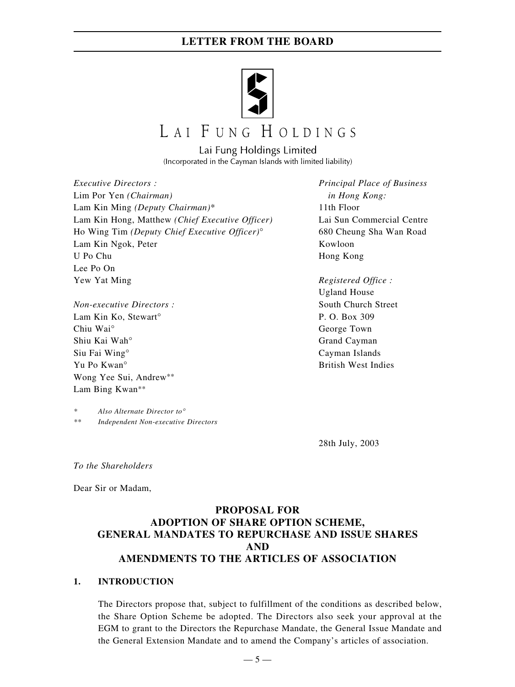

# LAI FUNG HOLDINGS

Lai Fung Holdings Limited (Incorporated in the Cayman Islands with limited liability)

*Executive Directors : Principal Place of Business* Lim Por Yen *(Chairman) in Hong Kong:* Lam Kin Ming *(Deputy Chairman)*\* 11th Floor Lam Kin Hong, Matthew *(Chief Executive Officer)* Lai Sun Commercial Centre Ho Wing Tim *(Deputy Chief Executive Officer)*° 680 Cheung Sha Wan Road Lam Kin Ngok, Peter Kowloon U Po Chu Hong Kong Lee Po On Yew Yat Ming *Registered Office :*

*Non-executive Directors :* South Church Street Lam Kin Ko, Stewart<sup>o</sup> P. O. Box 309 Chiu Wai° George Town Shiu Kai Wah° Grand Cayman Siu Fai Wing° Cayman Islands Yu Po Kwan° British West Indies Wong Yee Sui, Andrew\*\* Lam Bing Kwan\*\*

*\* Also Alternate Director to*° *\*\* Independent Non-executive Directors*

Ugland House

28th July, 2003

*To the Shareholders*

Dear Sir or Madam,

#### **PROPOSAL FOR ADOPTION OF SHARE OPTION SCHEME, GENERAL MANDATES TO REPURCHASE AND ISSUE SHARES AND AMENDMENTS TO THE ARTICLES OF ASSOCIATION**

#### **1. INTRODUCTION**

The Directors propose that, subject to fulfillment of the conditions as described below, the Share Option Scheme be adopted. The Directors also seek your approval at the EGM to grant to the Directors the Repurchase Mandate, the General Issue Mandate and the General Extension Mandate and to amend the Company's articles of association.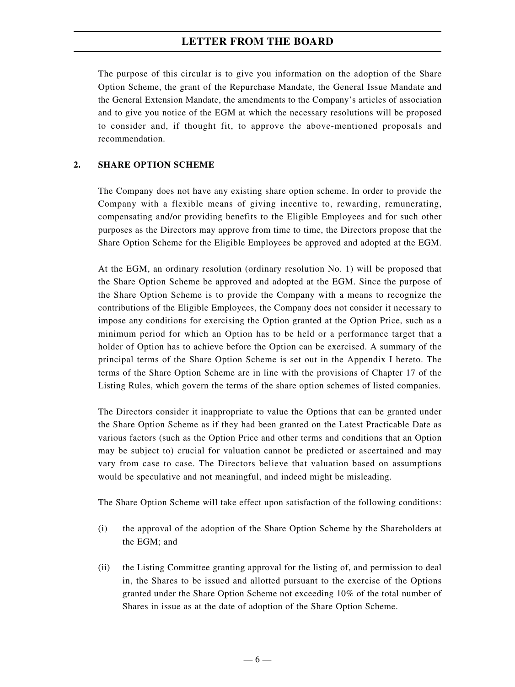The purpose of this circular is to give you information on the adoption of the Share Option Scheme, the grant of the Repurchase Mandate, the General Issue Mandate and the General Extension Mandate, the amendments to the Company's articles of association and to give you notice of the EGM at which the necessary resolutions will be proposed to consider and, if thought fit, to approve the above-mentioned proposals and recommendation.

#### **2. SHARE OPTION SCHEME**

The Company does not have any existing share option scheme. In order to provide the Company with a flexible means of giving incentive to, rewarding, remunerating, compensating and/or providing benefits to the Eligible Employees and for such other purposes as the Directors may approve from time to time, the Directors propose that the Share Option Scheme for the Eligible Employees be approved and adopted at the EGM.

At the EGM, an ordinary resolution (ordinary resolution No. 1) will be proposed that the Share Option Scheme be approved and adopted at the EGM. Since the purpose of the Share Option Scheme is to provide the Company with a means to recognize the contributions of the Eligible Employees, the Company does not consider it necessary to impose any conditions for exercising the Option granted at the Option Price, such as a minimum period for which an Option has to be held or a performance target that a holder of Option has to achieve before the Option can be exercised. A summary of the principal terms of the Share Option Scheme is set out in the Appendix I hereto. The terms of the Share Option Scheme are in line with the provisions of Chapter 17 of the Listing Rules, which govern the terms of the share option schemes of listed companies.

The Directors consider it inappropriate to value the Options that can be granted under the Share Option Scheme as if they had been granted on the Latest Practicable Date as various factors (such as the Option Price and other terms and conditions that an Option may be subject to) crucial for valuation cannot be predicted or ascertained and may vary from case to case. The Directors believe that valuation based on assumptions would be speculative and not meaningful, and indeed might be misleading.

The Share Option Scheme will take effect upon satisfaction of the following conditions:

- (i) the approval of the adoption of the Share Option Scheme by the Shareholders at the EGM; and
- (ii) the Listing Committee granting approval for the listing of, and permission to deal in, the Shares to be issued and allotted pursuant to the exercise of the Options granted under the Share Option Scheme not exceeding 10% of the total number of Shares in issue as at the date of adoption of the Share Option Scheme.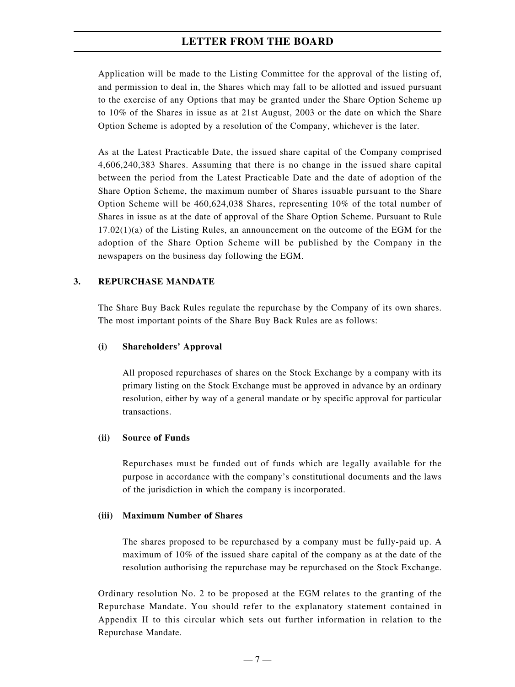Application will be made to the Listing Committee for the approval of the listing of, and permission to deal in, the Shares which may fall to be allotted and issued pursuant to the exercise of any Options that may be granted under the Share Option Scheme up to 10% of the Shares in issue as at 21st August, 2003 or the date on which the Share Option Scheme is adopted by a resolution of the Company, whichever is the later.

As at the Latest Practicable Date, the issued share capital of the Company comprised 4,606,240,383 Shares. Assuming that there is no change in the issued share capital between the period from the Latest Practicable Date and the date of adoption of the Share Option Scheme, the maximum number of Shares issuable pursuant to the Share Option Scheme will be 460,624,038 Shares, representing 10% of the total number of Shares in issue as at the date of approval of the Share Option Scheme. Pursuant to Rule 17.02(1)(a) of the Listing Rules, an announcement on the outcome of the EGM for the adoption of the Share Option Scheme will be published by the Company in the newspapers on the business day following the EGM.

#### **3. REPURCHASE MANDATE**

The Share Buy Back Rules regulate the repurchase by the Company of its own shares. The most important points of the Share Buy Back Rules are as follows:

#### **(i) Shareholders' Approval**

All proposed repurchases of shares on the Stock Exchange by a company with its primary listing on the Stock Exchange must be approved in advance by an ordinary resolution, either by way of a general mandate or by specific approval for particular transactions.

#### **(ii) Source of Funds**

Repurchases must be funded out of funds which are legally available for the purpose in accordance with the company's constitutional documents and the laws of the jurisdiction in which the company is incorporated.

#### **(iii) Maximum Number of Shares**

The shares proposed to be repurchased by a company must be fully-paid up. A maximum of 10% of the issued share capital of the company as at the date of the resolution authorising the repurchase may be repurchased on the Stock Exchange.

Ordinary resolution No. 2 to be proposed at the EGM relates to the granting of the Repurchase Mandate. You should refer to the explanatory statement contained in Appendix II to this circular which sets out further information in relation to the Repurchase Mandate.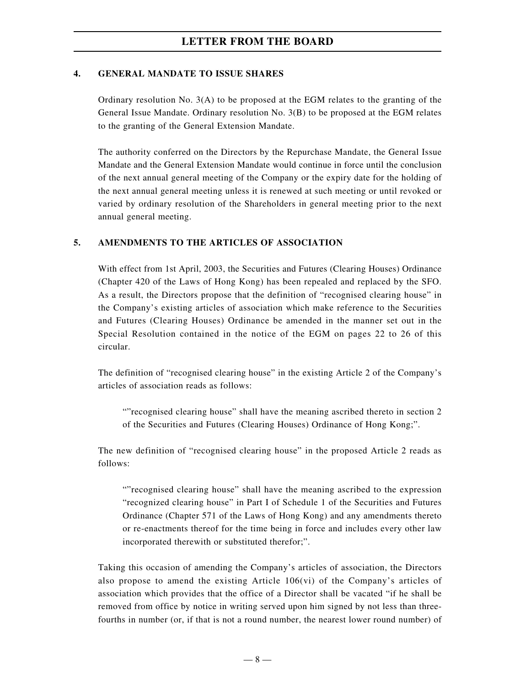#### **4. GENERAL MANDATE TO ISSUE SHARES**

Ordinary resolution No. 3(A) to be proposed at the EGM relates to the granting of the General Issue Mandate. Ordinary resolution No. 3(B) to be proposed at the EGM relates to the granting of the General Extension Mandate.

The authority conferred on the Directors by the Repurchase Mandate, the General Issue Mandate and the General Extension Mandate would continue in force until the conclusion of the next annual general meeting of the Company or the expiry date for the holding of the next annual general meeting unless it is renewed at such meeting or until revoked or varied by ordinary resolution of the Shareholders in general meeting prior to the next annual general meeting.

#### **5. AMENDMENTS TO THE ARTICLES OF ASSOCIATION**

With effect from 1st April, 2003, the Securities and Futures (Clearing Houses) Ordinance (Chapter 420 of the Laws of Hong Kong) has been repealed and replaced by the SFO. As a result, the Directors propose that the definition of "recognised clearing house" in the Company's existing articles of association which make reference to the Securities and Futures (Clearing Houses) Ordinance be amended in the manner set out in the Special Resolution contained in the notice of the EGM on pages 22 to 26 of this circular.

The definition of "recognised clearing house" in the existing Article 2 of the Company's articles of association reads as follows:

""recognised clearing house" shall have the meaning ascribed thereto in section 2 of the Securities and Futures (Clearing Houses) Ordinance of Hong Kong;".

The new definition of "recognised clearing house" in the proposed Article 2 reads as follows:

""recognised clearing house" shall have the meaning ascribed to the expression "recognized clearing house" in Part I of Schedule 1 of the Securities and Futures Ordinance (Chapter 571 of the Laws of Hong Kong) and any amendments thereto or re-enactments thereof for the time being in force and includes every other law incorporated therewith or substituted therefor;".

Taking this occasion of amending the Company's articles of association, the Directors also propose to amend the existing Article 106(vi) of the Company's articles of association which provides that the office of a Director shall be vacated "if he shall be removed from office by notice in writing served upon him signed by not less than threefourths in number (or, if that is not a round number, the nearest lower round number) of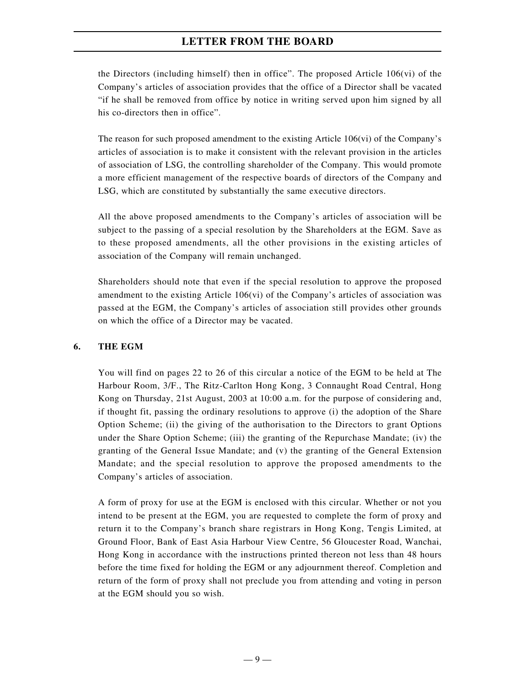the Directors (including himself) then in office". The proposed Article 106(vi) of the Company's articles of association provides that the office of a Director shall be vacated "if he shall be removed from office by notice in writing served upon him signed by all his co-directors then in office".

The reason for such proposed amendment to the existing Article 106(vi) of the Company's articles of association is to make it consistent with the relevant provision in the articles of association of LSG, the controlling shareholder of the Company. This would promote a more efficient management of the respective boards of directors of the Company and LSG, which are constituted by substantially the same executive directors.

All the above proposed amendments to the Company's articles of association will be subject to the passing of a special resolution by the Shareholders at the EGM. Save as to these proposed amendments, all the other provisions in the existing articles of association of the Company will remain unchanged.

Shareholders should note that even if the special resolution to approve the proposed amendment to the existing Article 106(vi) of the Company's articles of association was passed at the EGM, the Company's articles of association still provides other grounds on which the office of a Director may be vacated.

#### **6. THE EGM**

You will find on pages 22 to 26 of this circular a notice of the EGM to be held at The Harbour Room, 3/F., The Ritz-Carlton Hong Kong, 3 Connaught Road Central, Hong Kong on Thursday, 21st August, 2003 at 10:00 a.m. for the purpose of considering and, if thought fit, passing the ordinary resolutions to approve (i) the adoption of the Share Option Scheme; (ii) the giving of the authorisation to the Directors to grant Options under the Share Option Scheme; (iii) the granting of the Repurchase Mandate; (iv) the granting of the General Issue Mandate; and (v) the granting of the General Extension Mandate; and the special resolution to approve the proposed amendments to the Company's articles of association.

A form of proxy for use at the EGM is enclosed with this circular. Whether or not you intend to be present at the EGM, you are requested to complete the form of proxy and return it to the Company's branch share registrars in Hong Kong, Tengis Limited, at Ground Floor, Bank of East Asia Harbour View Centre, 56 Gloucester Road, Wanchai, Hong Kong in accordance with the instructions printed thereon not less than 48 hours before the time fixed for holding the EGM or any adjournment thereof. Completion and return of the form of proxy shall not preclude you from attending and voting in person at the EGM should you so wish.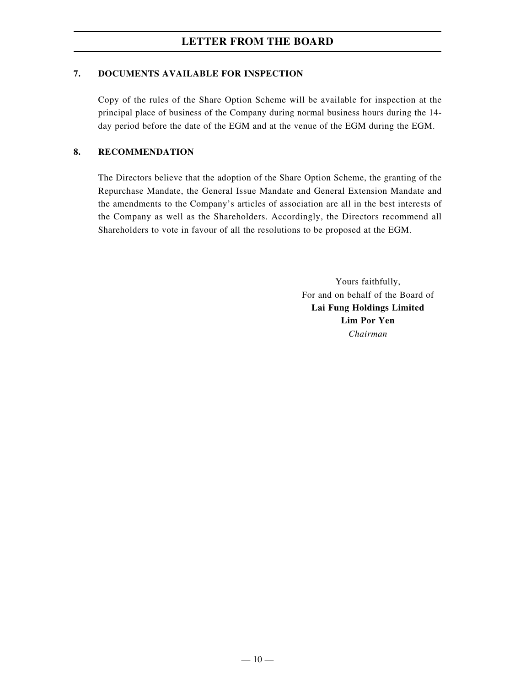#### **7. DOCUMENTS AVAILABLE FOR INSPECTION**

Copy of the rules of the Share Option Scheme will be available for inspection at the principal place of business of the Company during normal business hours during the 14 day period before the date of the EGM and at the venue of the EGM during the EGM.

#### **8. RECOMMENDATION**

The Directors believe that the adoption of the Share Option Scheme, the granting of the Repurchase Mandate, the General Issue Mandate and General Extension Mandate and the amendments to the Company's articles of association are all in the best interests of the Company as well as the Shareholders. Accordingly, the Directors recommend all Shareholders to vote in favour of all the resolutions to be proposed at the EGM.

> Yours faithfully, For and on behalf of the Board of **Lai Fung Holdings Limited Lim Por Yen** *Chairman*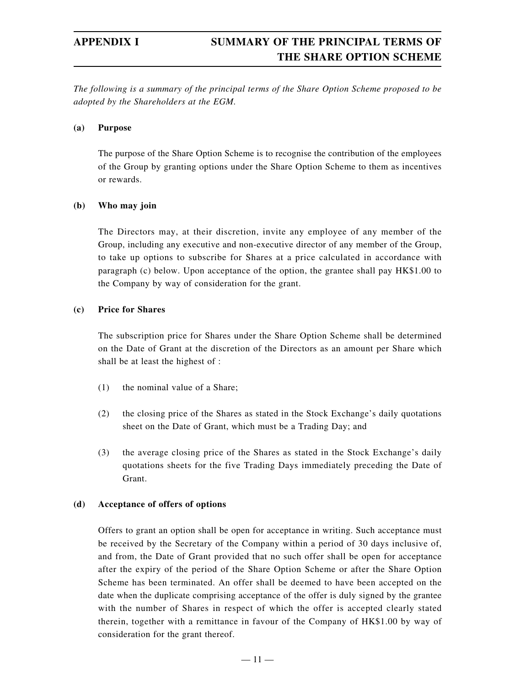*The following is a summary of the principal terms of the Share Option Scheme proposed to be adopted by the Shareholders at the EGM.*

#### **(a) Purpose**

The purpose of the Share Option Scheme is to recognise the contribution of the employees of the Group by granting options under the Share Option Scheme to them as incentives or rewards.

#### **(b) Who may join**

The Directors may, at their discretion, invite any employee of any member of the Group, including any executive and non-executive director of any member of the Group, to take up options to subscribe for Shares at a price calculated in accordance with paragraph (c) below. Upon acceptance of the option, the grantee shall pay HK\$1.00 to the Company by way of consideration for the grant.

#### **(c) Price for Shares**

The subscription price for Shares under the Share Option Scheme shall be determined on the Date of Grant at the discretion of the Directors as an amount per Share which shall be at least the highest of :

- (1) the nominal value of a Share;
- (2) the closing price of the Shares as stated in the Stock Exchange's daily quotations sheet on the Date of Grant, which must be a Trading Day; and
- (3) the average closing price of the Shares as stated in the Stock Exchange's daily quotations sheets for the five Trading Days immediately preceding the Date of Grant.

#### **(d) Acceptance of offers of options**

Offers to grant an option shall be open for acceptance in writing. Such acceptance must be received by the Secretary of the Company within a period of 30 days inclusive of, and from, the Date of Grant provided that no such offer shall be open for acceptance after the expiry of the period of the Share Option Scheme or after the Share Option Scheme has been terminated. An offer shall be deemed to have been accepted on the date when the duplicate comprising acceptance of the offer is duly signed by the grantee with the number of Shares in respect of which the offer is accepted clearly stated therein, together with a remittance in favour of the Company of HK\$1.00 by way of consideration for the grant thereof.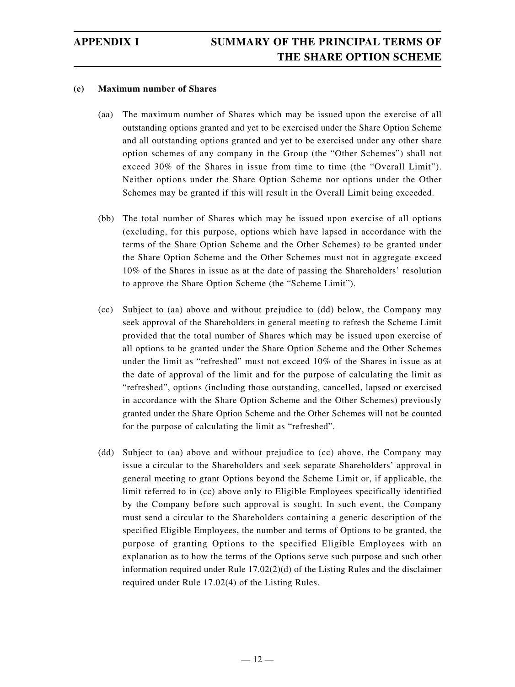#### **(e) Maximum number of Shares**

- (aa) The maximum number of Shares which may be issued upon the exercise of all outstanding options granted and yet to be exercised under the Share Option Scheme and all outstanding options granted and yet to be exercised under any other share option schemes of any company in the Group (the "Other Schemes") shall not exceed 30% of the Shares in issue from time to time (the "Overall Limit"). Neither options under the Share Option Scheme nor options under the Other Schemes may be granted if this will result in the Overall Limit being exceeded.
- (bb) The total number of Shares which may be issued upon exercise of all options (excluding, for this purpose, options which have lapsed in accordance with the terms of the Share Option Scheme and the Other Schemes) to be granted under the Share Option Scheme and the Other Schemes must not in aggregate exceed 10% of the Shares in issue as at the date of passing the Shareholders' resolution to approve the Share Option Scheme (the "Scheme Limit").
- (cc) Subject to (aa) above and without prejudice to (dd) below, the Company may seek approval of the Shareholders in general meeting to refresh the Scheme Limit provided that the total number of Shares which may be issued upon exercise of all options to be granted under the Share Option Scheme and the Other Schemes under the limit as "refreshed" must not exceed 10% of the Shares in issue as at the date of approval of the limit and for the purpose of calculating the limit as "refreshed", options (including those outstanding, cancelled, lapsed or exercised in accordance with the Share Option Scheme and the Other Schemes) previously granted under the Share Option Scheme and the Other Schemes will not be counted for the purpose of calculating the limit as "refreshed".
- (dd) Subject to (aa) above and without prejudice to (cc) above, the Company may issue a circular to the Shareholders and seek separate Shareholders' approval in general meeting to grant Options beyond the Scheme Limit or, if applicable, the limit referred to in (cc) above only to Eligible Employees specifically identified by the Company before such approval is sought. In such event, the Company must send a circular to the Shareholders containing a generic description of the specified Eligible Employees, the number and terms of Options to be granted, the purpose of granting Options to the specified Eligible Employees with an explanation as to how the terms of the Options serve such purpose and such other information required under Rule  $17.02(2)(d)$  of the Listing Rules and the disclaimer required under Rule 17.02(4) of the Listing Rules.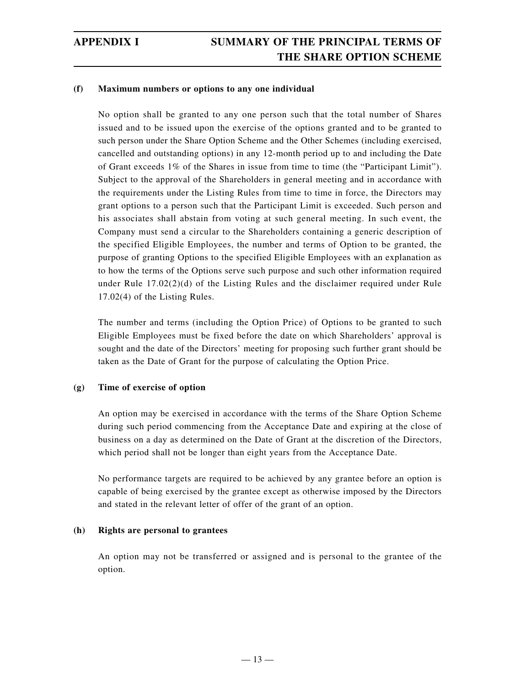#### **(f) Maximum numbers or options to any one individual**

No option shall be granted to any one person such that the total number of Shares issued and to be issued upon the exercise of the options granted and to be granted to such person under the Share Option Scheme and the Other Schemes (including exercised, cancelled and outstanding options) in any 12-month period up to and including the Date of Grant exceeds 1% of the Shares in issue from time to time (the "Participant Limit"). Subject to the approval of the Shareholders in general meeting and in accordance with the requirements under the Listing Rules from time to time in force, the Directors may grant options to a person such that the Participant Limit is exceeded. Such person and his associates shall abstain from voting at such general meeting. In such event, the Company must send a circular to the Shareholders containing a generic description of the specified Eligible Employees, the number and terms of Option to be granted, the purpose of granting Options to the specified Eligible Employees with an explanation as to how the terms of the Options serve such purpose and such other information required under Rule 17.02(2)(d) of the Listing Rules and the disclaimer required under Rule 17.02(4) of the Listing Rules.

The number and terms (including the Option Price) of Options to be granted to such Eligible Employees must be fixed before the date on which Shareholders' approval is sought and the date of the Directors' meeting for proposing such further grant should be taken as the Date of Grant for the purpose of calculating the Option Price.

#### **(g) Time of exercise of option**

An option may be exercised in accordance with the terms of the Share Option Scheme during such period commencing from the Acceptance Date and expiring at the close of business on a day as determined on the Date of Grant at the discretion of the Directors, which period shall not be longer than eight years from the Acceptance Date.

No performance targets are required to be achieved by any grantee before an option is capable of being exercised by the grantee except as otherwise imposed by the Directors and stated in the relevant letter of offer of the grant of an option.

#### **(h) Rights are personal to grantees**

An option may not be transferred or assigned and is personal to the grantee of the option.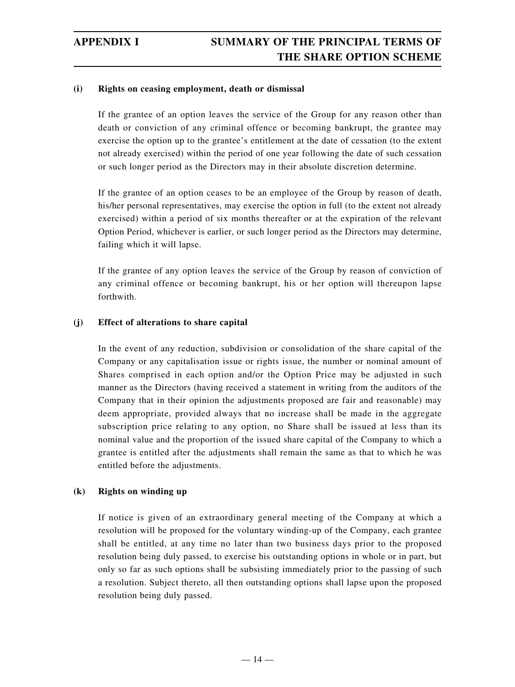#### **(i) Rights on ceasing employment, death or dismissal**

If the grantee of an option leaves the service of the Group for any reason other than death or conviction of any criminal offence or becoming bankrupt, the grantee may exercise the option up to the grantee's entitlement at the date of cessation (to the extent not already exercised) within the period of one year following the date of such cessation or such longer period as the Directors may in their absolute discretion determine.

If the grantee of an option ceases to be an employee of the Group by reason of death, his/her personal representatives, may exercise the option in full (to the extent not already exercised) within a period of six months thereafter or at the expiration of the relevant Option Period, whichever is earlier, or such longer period as the Directors may determine, failing which it will lapse.

If the grantee of any option leaves the service of the Group by reason of conviction of any criminal offence or becoming bankrupt, his or her option will thereupon lapse forthwith.

#### **(j) Effect of alterations to share capital**

In the event of any reduction, subdivision or consolidation of the share capital of the Company or any capitalisation issue or rights issue, the number or nominal amount of Shares comprised in each option and/or the Option Price may be adjusted in such manner as the Directors (having received a statement in writing from the auditors of the Company that in their opinion the adjustments proposed are fair and reasonable) may deem appropriate, provided always that no increase shall be made in the aggregate subscription price relating to any option, no Share shall be issued at less than its nominal value and the proportion of the issued share capital of the Company to which a grantee is entitled after the adjustments shall remain the same as that to which he was entitled before the adjustments.

#### **(k) Rights on winding up**

If notice is given of an extraordinary general meeting of the Company at which a resolution will be proposed for the voluntary winding-up of the Company, each grantee shall be entitled, at any time no later than two business days prior to the proposed resolution being duly passed, to exercise his outstanding options in whole or in part, but only so far as such options shall be subsisting immediately prior to the passing of such a resolution. Subject thereto, all then outstanding options shall lapse upon the proposed resolution being duly passed.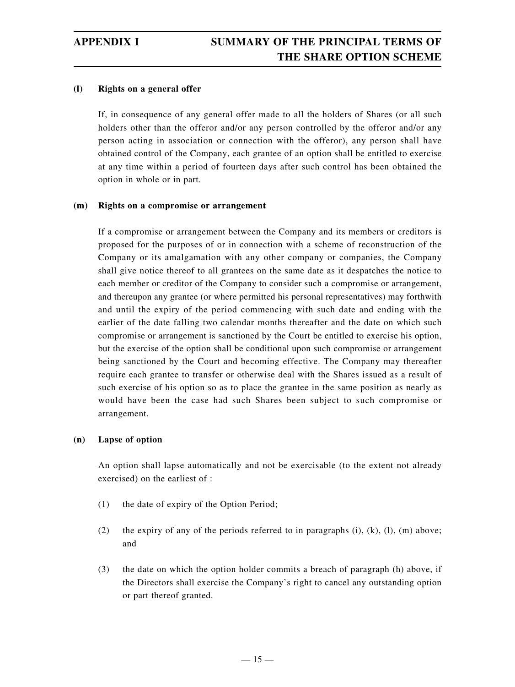#### **(l) Rights on a general offer**

If, in consequence of any general offer made to all the holders of Shares (or all such holders other than the offeror and/or any person controlled by the offeror and/or any person acting in association or connection with the offeror), any person shall have obtained control of the Company, each grantee of an option shall be entitled to exercise at any time within a period of fourteen days after such control has been obtained the option in whole or in part.

#### **(m) Rights on a compromise or arrangement**

If a compromise or arrangement between the Company and its members or creditors is proposed for the purposes of or in connection with a scheme of reconstruction of the Company or its amalgamation with any other company or companies, the Company shall give notice thereof to all grantees on the same date as it despatches the notice to each member or creditor of the Company to consider such a compromise or arrangement, and thereupon any grantee (or where permitted his personal representatives) may forthwith and until the expiry of the period commencing with such date and ending with the earlier of the date falling two calendar months thereafter and the date on which such compromise or arrangement is sanctioned by the Court be entitled to exercise his option, but the exercise of the option shall be conditional upon such compromise or arrangement being sanctioned by the Court and becoming effective. The Company may thereafter require each grantee to transfer or otherwise deal with the Shares issued as a result of such exercise of his option so as to place the grantee in the same position as nearly as would have been the case had such Shares been subject to such compromise or arrangement.

#### **(n) Lapse of option**

An option shall lapse automatically and not be exercisable (to the extent not already exercised) on the earliest of :

- (1) the date of expiry of the Option Period;
- (2) the expiry of any of the periods referred to in paragraphs  $(i)$ ,  $(k)$ ,  $(l)$ ,  $(m)$  above; and
- (3) the date on which the option holder commits a breach of paragraph (h) above, if the Directors shall exercise the Company's right to cancel any outstanding option or part thereof granted.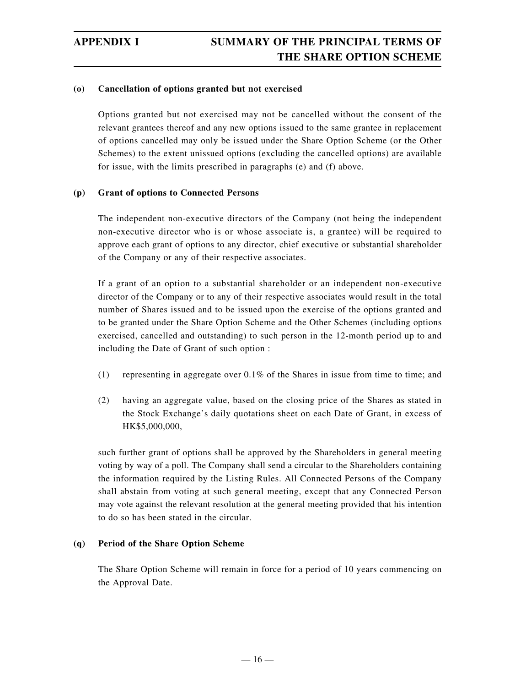#### **(o) Cancellation of options granted but not exercised**

Options granted but not exercised may not be cancelled without the consent of the relevant grantees thereof and any new options issued to the same grantee in replacement of options cancelled may only be issued under the Share Option Scheme (or the Other Schemes) to the extent unissued options (excluding the cancelled options) are available for issue, with the limits prescribed in paragraphs (e) and (f) above.

#### **(p) Grant of options to Connected Persons**

The independent non-executive directors of the Company (not being the independent non-executive director who is or whose associate is, a grantee) will be required to approve each grant of options to any director, chief executive or substantial shareholder of the Company or any of their respective associates.

If a grant of an option to a substantial shareholder or an independent non-executive director of the Company or to any of their respective associates would result in the total number of Shares issued and to be issued upon the exercise of the options granted and to be granted under the Share Option Scheme and the Other Schemes (including options exercised, cancelled and outstanding) to such person in the 12-month period up to and including the Date of Grant of such option :

- (1) representing in aggregate over  $0.1\%$  of the Shares in issue from time to time; and
- (2) having an aggregate value, based on the closing price of the Shares as stated in the Stock Exchange's daily quotations sheet on each Date of Grant, in excess of HK\$5,000,000,

such further grant of options shall be approved by the Shareholders in general meeting voting by way of a poll. The Company shall send a circular to the Shareholders containing the information required by the Listing Rules. All Connected Persons of the Company shall abstain from voting at such general meeting, except that any Connected Person may vote against the relevant resolution at the general meeting provided that his intention to do so has been stated in the circular.

#### **(q) Period of the Share Option Scheme**

The Share Option Scheme will remain in force for a period of 10 years commencing on the Approval Date.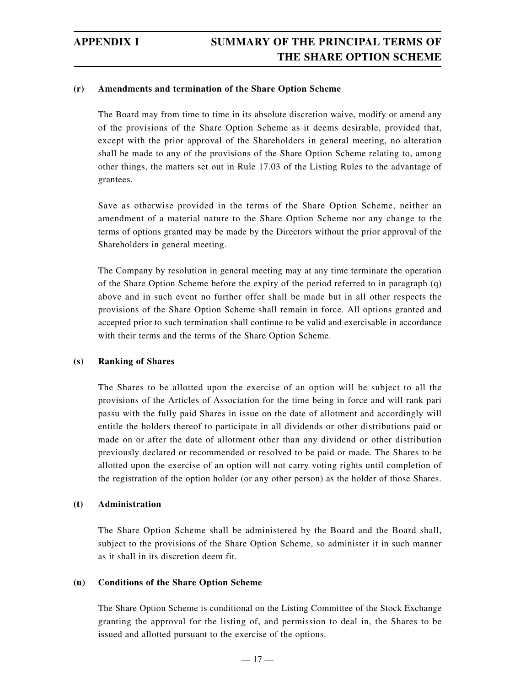#### **(r) Amendments and termination of the Share Option Scheme**

The Board may from time to time in its absolute discretion waive, modify or amend any of the provisions of the Share Option Scheme as it deems desirable, provided that, except with the prior approval of the Shareholders in general meeting, no alteration shall be made to any of the provisions of the Share Option Scheme relating to, among other things, the matters set out in Rule 17.03 of the Listing Rules to the advantage of grantees.

Save as otherwise provided in the terms of the Share Option Scheme, neither an amendment of a material nature to the Share Option Scheme nor any change to the terms of options granted may be made by the Directors without the prior approval of the Shareholders in general meeting.

The Company by resolution in general meeting may at any time terminate the operation of the Share Option Scheme before the expiry of the period referred to in paragraph (q) above and in such event no further offer shall be made but in all other respects the provisions of the Share Option Scheme shall remain in force. All options granted and accepted prior to such termination shall continue to be valid and exercisable in accordance with their terms and the terms of the Share Option Scheme.

#### **(s) Ranking of Shares**

The Shares to be allotted upon the exercise of an option will be subject to all the provisions of the Articles of Association for the time being in force and will rank pari passu with the fully paid Shares in issue on the date of allotment and accordingly will entitle the holders thereof to participate in all dividends or other distributions paid or made on or after the date of allotment other than any dividend or other distribution previously declared or recommended or resolved to be paid or made. The Shares to be allotted upon the exercise of an option will not carry voting rights until completion of the registration of the option holder (or any other person) as the holder of those Shares.

#### **(t) Administration**

The Share Option Scheme shall be administered by the Board and the Board shall, subject to the provisions of the Share Option Scheme, so administer it in such manner as it shall in its discretion deem fit.

#### **(u) Conditions of the Share Option Scheme**

The Share Option Scheme is conditional on the Listing Committee of the Stock Exchange granting the approval for the listing of, and permission to deal in, the Shares to be issued and allotted pursuant to the exercise of the options.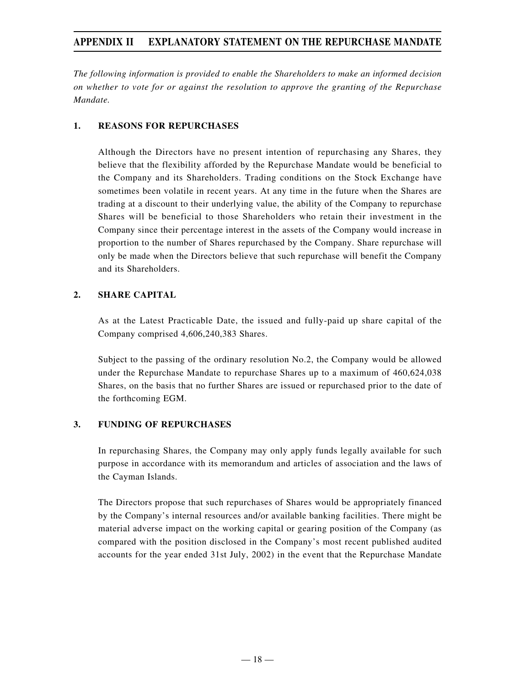*The following information is provided to enable the Shareholders to make an informed decision on whether to vote for or against the resolution to approve the granting of the Repurchase Mandate.*

#### **1. REASONS FOR REPURCHASES**

Although the Directors have no present intention of repurchasing any Shares, they believe that the flexibility afforded by the Repurchase Mandate would be beneficial to the Company and its Shareholders. Trading conditions on the Stock Exchange have sometimes been volatile in recent years. At any time in the future when the Shares are trading at a discount to their underlying value, the ability of the Company to repurchase Shares will be beneficial to those Shareholders who retain their investment in the Company since their percentage interest in the assets of the Company would increase in proportion to the number of Shares repurchased by the Company. Share repurchase will only be made when the Directors believe that such repurchase will benefit the Company and its Shareholders.

#### **2. SHARE CAPITAL**

As at the Latest Practicable Date, the issued and fully-paid up share capital of the Company comprised 4,606,240,383 Shares.

Subject to the passing of the ordinary resolution No.2, the Company would be allowed under the Repurchase Mandate to repurchase Shares up to a maximum of 460,624,038 Shares, on the basis that no further Shares are issued or repurchased prior to the date of the forthcoming EGM.

#### **3. FUNDING OF REPURCHASES**

In repurchasing Shares, the Company may only apply funds legally available for such purpose in accordance with its memorandum and articles of association and the laws of the Cayman Islands.

The Directors propose that such repurchases of Shares would be appropriately financed by the Company's internal resources and/or available banking facilities. There might be material adverse impact on the working capital or gearing position of the Company (as compared with the position disclosed in the Company's most recent published audited accounts for the year ended 31st July, 2002) in the event that the Repurchase Mandate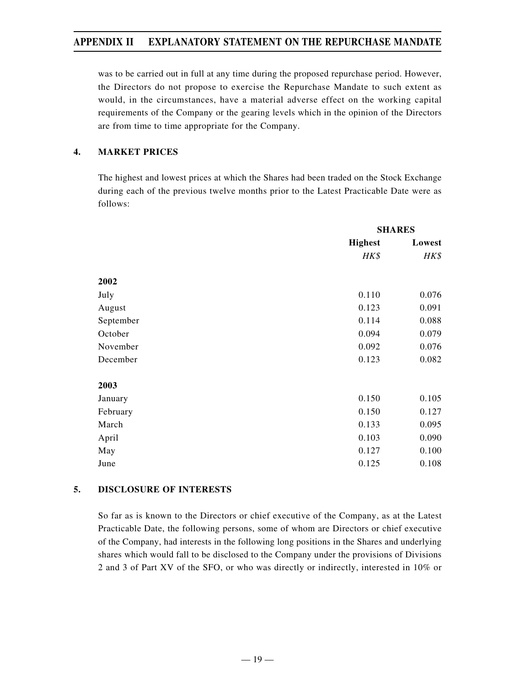was to be carried out in full at any time during the proposed repurchase period. However, the Directors do not propose to exercise the Repurchase Mandate to such extent as would, in the circumstances, have a material adverse effect on the working capital requirements of the Company or the gearing levels which in the opinion of the Directors are from time to time appropriate for the Company.

#### **4. MARKET PRICES**

The highest and lowest prices at which the Shares had been traded on the Stock Exchange during each of the previous twelve months prior to the Latest Practicable Date were as follows:

|           |                | <b>SHARES</b> |
|-----------|----------------|---------------|
|           | <b>Highest</b> | Lowest        |
|           | HK\$           | HK\$          |
| 2002      |                |               |
| July      | 0.110          | 0.076         |
| August    | 0.123          | 0.091         |
| September | 0.114          | 0.088         |
| October   | 0.094          | 0.079         |
| November  | 0.092          | 0.076         |
| December  | 0.123          | 0.082         |
| 2003      |                |               |
| January   | 0.150          | 0.105         |
| February  | 0.150          | 0.127         |
| March     | 0.133          | 0.095         |
| April     | 0.103          | 0.090         |
| May       | 0.127          | 0.100         |
| June      | 0.125          | 0.108         |

#### **5. DISCLOSURE OF INTERESTS**

So far as is known to the Directors or chief executive of the Company, as at the Latest Practicable Date, the following persons, some of whom are Directors or chief executive of the Company, had interests in the following long positions in the Shares and underlying shares which would fall to be disclosed to the Company under the provisions of Divisions 2 and 3 of Part XV of the SFO, or who was directly or indirectly, interested in 10% or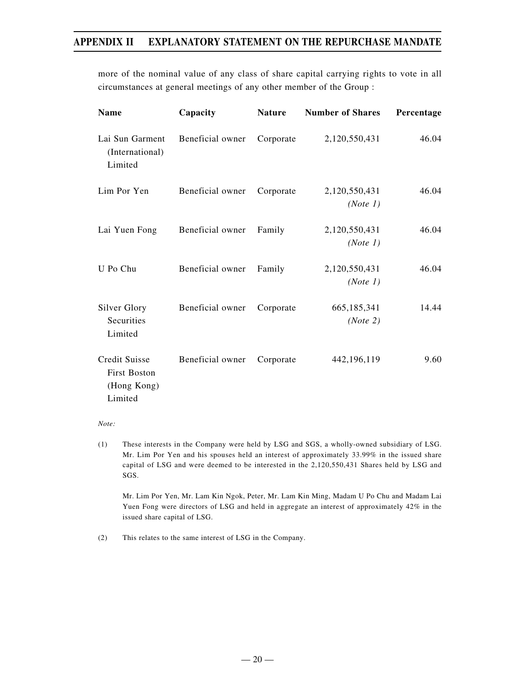more of the nominal value of any class of share capital carrying rights to vote in all circumstances at general meetings of any other member of the Group :

| <b>Name</b>                                                    | Capacity         | <b>Nature</b> | <b>Number of Shares</b>   | Percentage |
|----------------------------------------------------------------|------------------|---------------|---------------------------|------------|
| Lai Sun Garment<br>(International)<br>Limited                  | Beneficial owner | Corporate     | 2,120,550,431             | 46.04      |
| Lim Por Yen                                                    | Beneficial owner | Corporate     | 2,120,550,431<br>(Note 1) | 46.04      |
| Lai Yuen Fong                                                  | Beneficial owner | Family        | 2,120,550,431<br>(Note 1) | 46.04      |
| U Po Chu                                                       | Beneficial owner | Family        | 2,120,550,431<br>(Note 1) | 46.04      |
| Silver Glory<br>Securities<br>Limited                          | Beneficial owner | Corporate     | 665,185,341<br>(Note 2)   | 14.44      |
| Credit Suisse<br><b>First Boston</b><br>(Hong Kong)<br>Limited | Beneficial owner | Corporate     | 442,196,119               | 9.60       |

*Note:*

(1) These interests in the Company were held by LSG and SGS, a wholly-owned subsidiary of LSG. Mr. Lim Por Yen and his spouses held an interest of approximately 33.99% in the issued share capital of LSG and were deemed to be interested in the 2,120,550,431 Shares held by LSG and SGS.

Mr. Lim Por Yen, Mr. Lam Kin Ngok, Peter, Mr. Lam Kin Ming, Madam U Po Chu and Madam Lai Yuen Fong were directors of LSG and held in aggregate an interest of approximately 42% in the issued share capital of LSG.

(2) This relates to the same interest of LSG in the Company.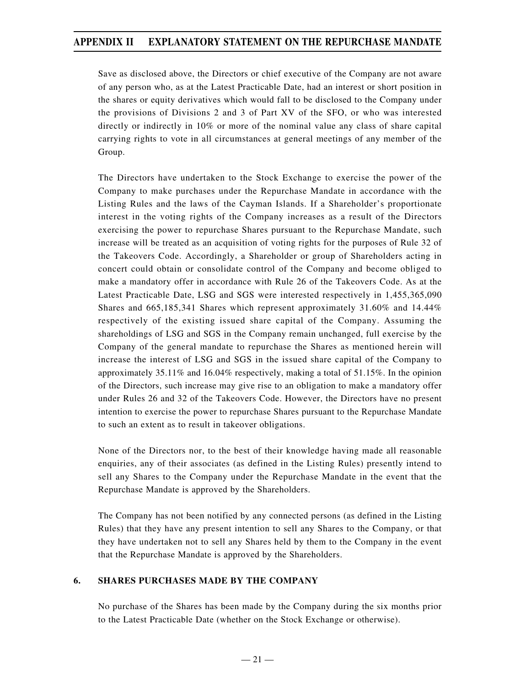Save as disclosed above, the Directors or chief executive of the Company are not aware of any person who, as at the Latest Practicable Date, had an interest or short position in the shares or equity derivatives which would fall to be disclosed to the Company under the provisions of Divisions 2 and 3 of Part XV of the SFO, or who was interested directly or indirectly in 10% or more of the nominal value any class of share capital carrying rights to vote in all circumstances at general meetings of any member of the Group.

The Directors have undertaken to the Stock Exchange to exercise the power of the Company to make purchases under the Repurchase Mandate in accordance with the Listing Rules and the laws of the Cayman Islands. If a Shareholder's proportionate interest in the voting rights of the Company increases as a result of the Directors exercising the power to repurchase Shares pursuant to the Repurchase Mandate, such increase will be treated as an acquisition of voting rights for the purposes of Rule 32 of the Takeovers Code. Accordingly, a Shareholder or group of Shareholders acting in concert could obtain or consolidate control of the Company and become obliged to make a mandatory offer in accordance with Rule 26 of the Takeovers Code. As at the Latest Practicable Date, LSG and SGS were interested respectively in 1,455,365,090 Shares and 665,185,341 Shares which represent approximately 31.60% and 14.44% respectively of the existing issued share capital of the Company. Assuming the shareholdings of LSG and SGS in the Company remain unchanged, full exercise by the Company of the general mandate to repurchase the Shares as mentioned herein will increase the interest of LSG and SGS in the issued share capital of the Company to approximately 35.11% and 16.04% respectively, making a total of 51.15%. In the opinion of the Directors, such increase may give rise to an obligation to make a mandatory offer under Rules 26 and 32 of the Takeovers Code. However, the Directors have no present intention to exercise the power to repurchase Shares pursuant to the Repurchase Mandate to such an extent as to result in takeover obligations.

None of the Directors nor, to the best of their knowledge having made all reasonable enquiries, any of their associates (as defined in the Listing Rules) presently intend to sell any Shares to the Company under the Repurchase Mandate in the event that the Repurchase Mandate is approved by the Shareholders.

The Company has not been notified by any connected persons (as defined in the Listing Rules) that they have any present intention to sell any Shares to the Company, or that they have undertaken not to sell any Shares held by them to the Company in the event that the Repurchase Mandate is approved by the Shareholders.

#### **6. SHARES PURCHASES MADE BY THE COMPANY**

No purchase of the Shares has been made by the Company during the six months prior to the Latest Practicable Date (whether on the Stock Exchange or otherwise).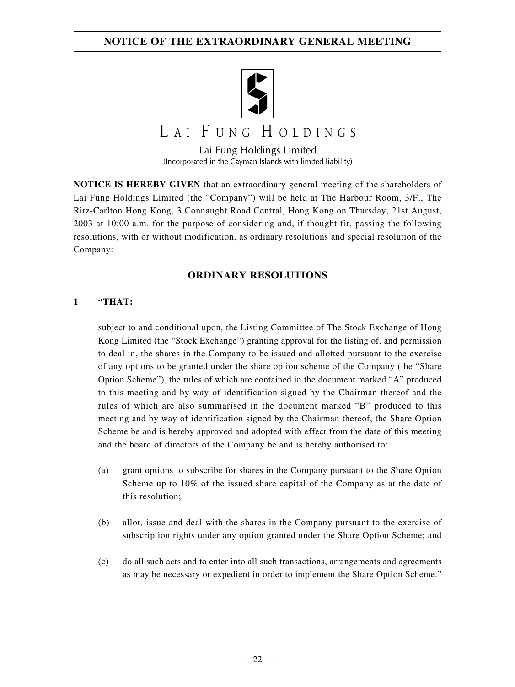

# LAI FUNG HOLDINGS

Lai Fung Holdings Limited (Incorporated in the Cayman Islands with limited liability)

**NOTICE IS HEREBY GIVEN** that an extraordinary general meeting of the shareholders of Lai Fung Holdings Limited (the "Company") will be held at The Harbour Room, 3/F., The Ritz-Carlton Hong Kong, 3 Connaught Road Central, Hong Kong on Thursday, 21st August, 2003 at 10:00 a.m. for the purpose of considering and, if thought fit, passing the following resolutions, with or without modification, as ordinary resolutions and special resolution of the Company:

#### **ORDINARY RESOLUTIONS**

#### **1 "THAT:**

subject to and conditional upon, the Listing Committee of The Stock Exchange of Hong Kong Limited (the "Stock Exchange") granting approval for the listing of, and permission to deal in, the shares in the Company to be issued and allotted pursuant to the exercise of any options to be granted under the share option scheme of the Company (the "Share Option Scheme"), the rules of which are contained in the document marked "A" produced to this meeting and by way of identification signed by the Chairman thereof and the rules of which are also summarised in the document marked "B" produced to this meeting and by way of identification signed by the Chairman thereof, the Share Option Scheme be and is hereby approved and adopted with effect from the date of this meeting and the board of directors of the Company be and is hereby authorised to:

- (a) grant options to subscribe for shares in the Company pursuant to the Share Option Scheme up to 10% of the issued share capital of the Company as at the date of this resolution;
- (b) allot, issue and deal with the shares in the Company pursuant to the exercise of subscription rights under any option granted under the Share Option Scheme; and
- (c) do all such acts and to enter into all such transactions, arrangements and agreements as may be necessary or expedient in order to implement the Share Option Scheme."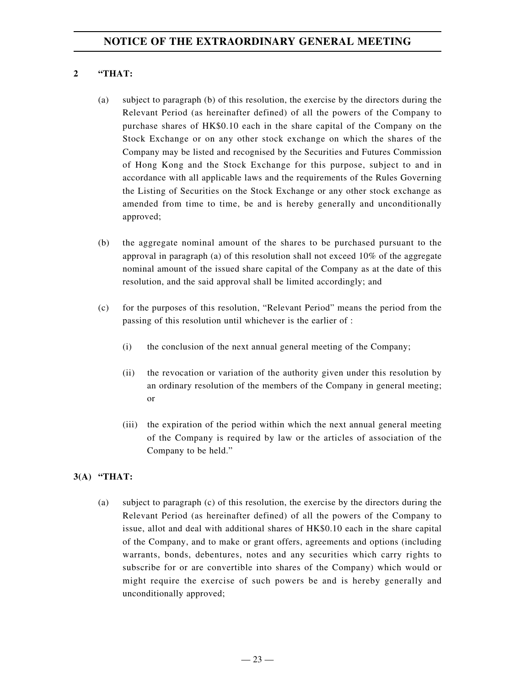#### **2 "THAT:**

- (a) subject to paragraph (b) of this resolution, the exercise by the directors during the Relevant Period (as hereinafter defined) of all the powers of the Company to purchase shares of HK\$0.10 each in the share capital of the Company on the Stock Exchange or on any other stock exchange on which the shares of the Company may be listed and recognised by the Securities and Futures Commission of Hong Kong and the Stock Exchange for this purpose, subject to and in accordance with all applicable laws and the requirements of the Rules Governing the Listing of Securities on the Stock Exchange or any other stock exchange as amended from time to time, be and is hereby generally and unconditionally approved;
- (b) the aggregate nominal amount of the shares to be purchased pursuant to the approval in paragraph (a) of this resolution shall not exceed 10% of the aggregate nominal amount of the issued share capital of the Company as at the date of this resolution, and the said approval shall be limited accordingly; and
- (c) for the purposes of this resolution, "Relevant Period" means the period from the passing of this resolution until whichever is the earlier of :
	- (i) the conclusion of the next annual general meeting of the Company;
	- (ii) the revocation or variation of the authority given under this resolution by an ordinary resolution of the members of the Company in general meeting; or
	- (iii) the expiration of the period within which the next annual general meeting of the Company is required by law or the articles of association of the Company to be held."

#### **3(A) "THAT:**

(a) subject to paragraph (c) of this resolution, the exercise by the directors during the Relevant Period (as hereinafter defined) of all the powers of the Company to issue, allot and deal with additional shares of HK\$0.10 each in the share capital of the Company, and to make or grant offers, agreements and options (including warrants, bonds, debentures, notes and any securities which carry rights to subscribe for or are convertible into shares of the Company) which would or might require the exercise of such powers be and is hereby generally and unconditionally approved;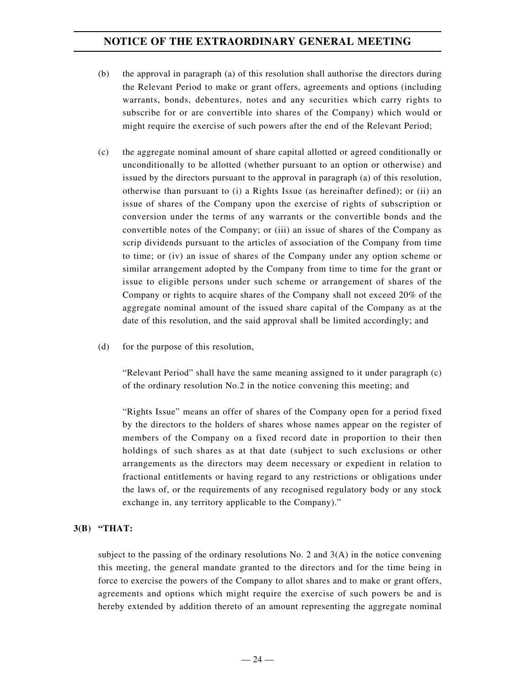- (b) the approval in paragraph (a) of this resolution shall authorise the directors during the Relevant Period to make or grant offers, agreements and options (including warrants, bonds, debentures, notes and any securities which carry rights to subscribe for or are convertible into shares of the Company) which would or might require the exercise of such powers after the end of the Relevant Period;
- (c) the aggregate nominal amount of share capital allotted or agreed conditionally or unconditionally to be allotted (whether pursuant to an option or otherwise) and issued by the directors pursuant to the approval in paragraph (a) of this resolution, otherwise than pursuant to (i) a Rights Issue (as hereinafter defined); or (ii) an issue of shares of the Company upon the exercise of rights of subscription or conversion under the terms of any warrants or the convertible bonds and the convertible notes of the Company; or (iii) an issue of shares of the Company as scrip dividends pursuant to the articles of association of the Company from time to time; or (iv) an issue of shares of the Company under any option scheme or similar arrangement adopted by the Company from time to time for the grant or issue to eligible persons under such scheme or arrangement of shares of the Company or rights to acquire shares of the Company shall not exceed 20% of the aggregate nominal amount of the issued share capital of the Company as at the date of this resolution, and the said approval shall be limited accordingly; and
- (d) for the purpose of this resolution,

"Relevant Period" shall have the same meaning assigned to it under paragraph (c) of the ordinary resolution No.2 in the notice convening this meeting; and

"Rights Issue" means an offer of shares of the Company open for a period fixed by the directors to the holders of shares whose names appear on the register of members of the Company on a fixed record date in proportion to their then holdings of such shares as at that date (subject to such exclusions or other arrangements as the directors may deem necessary or expedient in relation to fractional entitlements or having regard to any restrictions or obligations under the laws of, or the requirements of any recognised regulatory body or any stock exchange in, any territory applicable to the Company)."

#### **3(B) "THAT:**

subject to the passing of the ordinary resolutions No. 2 and  $3(A)$  in the notice convening this meeting, the general mandate granted to the directors and for the time being in force to exercise the powers of the Company to allot shares and to make or grant offers, agreements and options which might require the exercise of such powers be and is hereby extended by addition thereto of an amount representing the aggregate nominal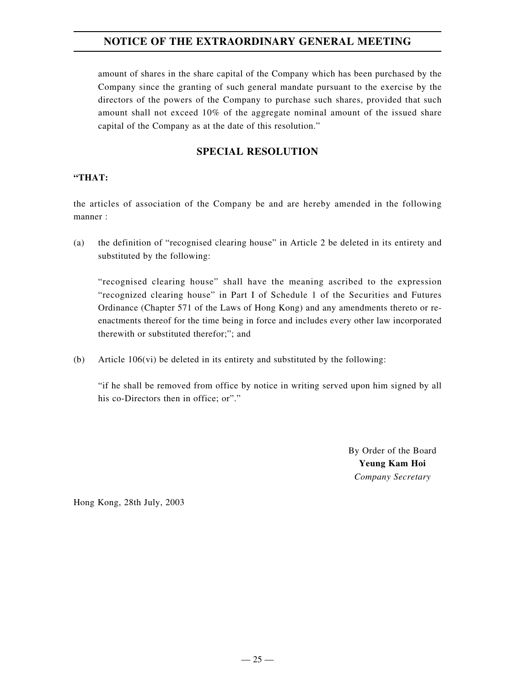amount of shares in the share capital of the Company which has been purchased by the Company since the granting of such general mandate pursuant to the exercise by the directors of the powers of the Company to purchase such shares, provided that such amount shall not exceed 10% of the aggregate nominal amount of the issued share capital of the Company as at the date of this resolution."

#### **SPECIAL RESOLUTION**

#### **"THAT:**

the articles of association of the Company be and are hereby amended in the following manner :

(a) the definition of "recognised clearing house" in Article 2 be deleted in its entirety and substituted by the following:

"recognised clearing house" shall have the meaning ascribed to the expression "recognized clearing house" in Part I of Schedule 1 of the Securities and Futures Ordinance (Chapter 571 of the Laws of Hong Kong) and any amendments thereto or reenactments thereof for the time being in force and includes every other law incorporated therewith or substituted therefor;"; and

(b) Article  $106(vi)$  be deleted in its entirety and substituted by the following:

"if he shall be removed from office by notice in writing served upon him signed by all his co-Directors then in office; or"."

> By Order of the Board **Yeung Kam Hoi** *Company Secretary*

Hong Kong, 28th July, 2003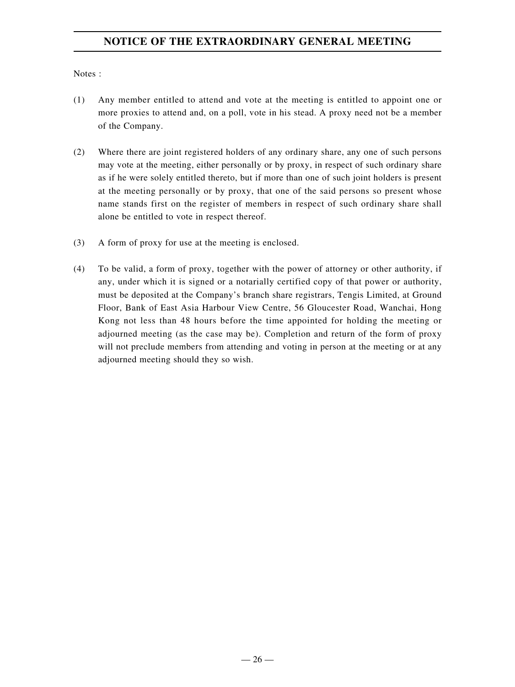Notes :

- (1) Any member entitled to attend and vote at the meeting is entitled to appoint one or more proxies to attend and, on a poll, vote in his stead. A proxy need not be a member of the Company.
- (2) Where there are joint registered holders of any ordinary share, any one of such persons may vote at the meeting, either personally or by proxy, in respect of such ordinary share as if he were solely entitled thereto, but if more than one of such joint holders is present at the meeting personally or by proxy, that one of the said persons so present whose name stands first on the register of members in respect of such ordinary share shall alone be entitled to vote in respect thereof.
- (3) A form of proxy for use at the meeting is enclosed.
- (4) To be valid, a form of proxy, together with the power of attorney or other authority, if any, under which it is signed or a notarially certified copy of that power or authority, must be deposited at the Company's branch share registrars, Tengis Limited, at Ground Floor, Bank of East Asia Harbour View Centre, 56 Gloucester Road, Wanchai, Hong Kong not less than 48 hours before the time appointed for holding the meeting or adjourned meeting (as the case may be). Completion and return of the form of proxy will not preclude members from attending and voting in person at the meeting or at any adjourned meeting should they so wish.